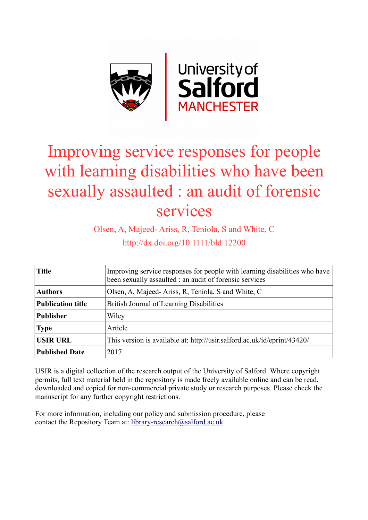

# Improving service responses for people with learning disabilities who have been sexually assaulted : an audit of forensic services

Olsen, A, Majeed- Ariss, R, Teniola, S and White, C http://dx.doi.org/10.1111/bld.12200

| <b>Title</b>             | Improving service responses for people with learning disabilities who have<br>been sexually assaulted : an audit of forensic services |  |  |  |  |
|--------------------------|---------------------------------------------------------------------------------------------------------------------------------------|--|--|--|--|
| <b>Authors</b>           | Olsen, A, Majeed-Ariss, R, Teniola, S and White, C                                                                                    |  |  |  |  |
| <b>Publication title</b> | British Journal of Learning Disabilities                                                                                              |  |  |  |  |
| <b>Publisher</b>         | Wiley                                                                                                                                 |  |  |  |  |
| <b>Type</b>              | Article                                                                                                                               |  |  |  |  |
| <b>USIR URL</b>          | This version is available at: http://usir.salford.ac.uk/id/eprint/43420/                                                              |  |  |  |  |
| <b>Published Date</b>    | 2017                                                                                                                                  |  |  |  |  |

USIR is a digital collection of the research output of the University of Salford. Where copyright permits, full text material held in the repository is made freely available online and can be read, downloaded and copied for non-commercial private study or research purposes. Please check the manuscript for any further copyright restrictions.

For more information, including our policy and submission procedure, please contact the Repository Team at: [library-research@salford.ac.uk.](mailto:library-research@salford.ac.uk)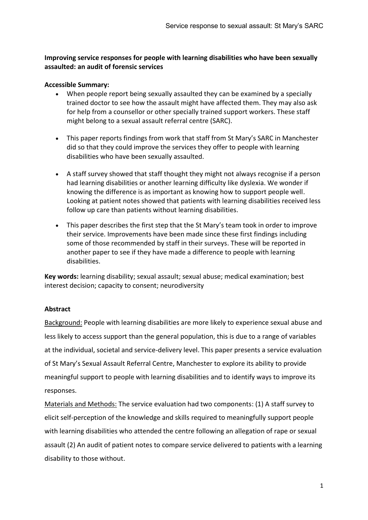# **Improving service responses for people with learning disabilities who have been sexually assaulted: an audit of forensic services**

# **Accessible Summary:**

- When people report being sexually assaulted they can be examined by a specially trained doctor to see how the assault might have affected them. They may also ask for help from a counsellor or other specially trained support workers. These staff might belong to a sexual assault referral centre (SARC).
- This paper reports findings from work that staff from St Mary's SARC in Manchester did so that they could improve the services they offer to people with learning disabilities who have been sexually assaulted.
- A staff survey showed that staff thought they might not always recognise if a person had learning disabilities or another learning difficulty like dyslexia. We wonder if knowing the difference is as important as knowing how to support people well. Looking at patient notes showed that patients with learning disabilities received less follow up care than patients without learning disabilities.
- This paper describes the first step that the St Mary's team took in order to improve their service. Improvements have been made since these first findings including some of those recommended by staff in their surveys. These will be reported in another paper to see if they have made a difference to people with learning disabilities.

**Key words:** learning disability; sexual assault; sexual abuse; medical examination; best interest decision; capacity to consent; neurodiversity

# **Abstract**

Background: People with learning disabilities are more likely to experience sexual abuse and less likely to access support than the general population, this is due to a range of variables at the individual, societal and service-delivery level. This paper presents a service evaluation of St Mary's Sexual Assault Referral Centre, Manchester to explore its ability to provide meaningful support to people with learning disabilities and to identify ways to improve its responses.

Materials and Methods: The service evaluation had two components: (1) A staff survey to elicit self-perception of the knowledge and skills required to meaningfully support people with learning disabilities who attended the centre following an allegation of rape or sexual assault (2) An audit of patient notes to compare service delivered to patients with a learning disability to those without.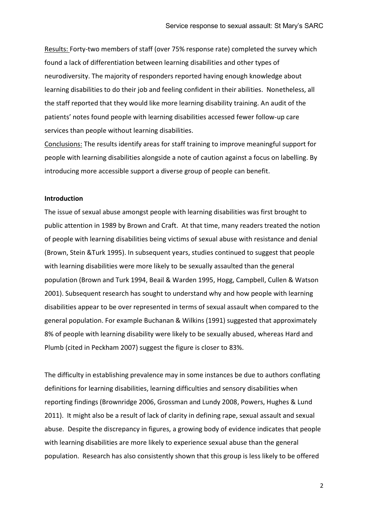Results: Forty-two members of staff (over 75% response rate) completed the survey which found a lack of differentiation between learning disabilities and other types of neurodiversity. The majority of responders reported having enough knowledge about learning disabilities to do their job and feeling confident in their abilities. Nonetheless, all the staff reported that they would like more learning disability training. An audit of the patients' notes found people with learning disabilities accessed fewer follow-up care services than people without learning disabilities.

Conclusions: The results identify areas for staff training to improve meaningful support for people with learning disabilities alongside a note of caution against a focus on labelling. By introducing more accessible support a diverse group of people can benefit.

#### **Introduction**

The issue of sexual abuse amongst people with learning disabilities was first brought to public attention in 1989 by Brown and Craft. At that time, many readers treated the notion of people with learning disabilities being victims of sexual abuse with resistance and denial (Brown, Stein &Turk 1995). In subsequent years, studies continued to suggest that people with learning disabilities were more likely to be sexually assaulted than the general population (Brown and Turk 1994, Beail & Warden 1995, Hogg, Campbell, Cullen & Watson 2001). Subsequent research has sought to understand why and how people with learning disabilities appear to be over represented in terms of sexual assault when compared to the general population. For example Buchanan & Wilkins (1991) suggested that approximately 8% of people with learning disability were likely to be sexually abused, whereas Hard and Plumb (cited in Peckham 2007) suggest the figure is closer to 83%.

The difficulty in establishing prevalence may in some instances be due to authors conflating definitions for learning disabilities, learning difficulties and sensory disabilities when reporting findings (Brownridge 2006, Grossman and Lundy 2008, Powers, Hughes & Lund 2011). It might also be a result of lack of clarity in defining rape, sexual assault and sexual abuse. Despite the discrepancy in figures, a growing body of evidence indicates that people with learning disabilities are more likely to experience sexual abuse than the general population. Research has also consistently shown that this group is less likely to be offered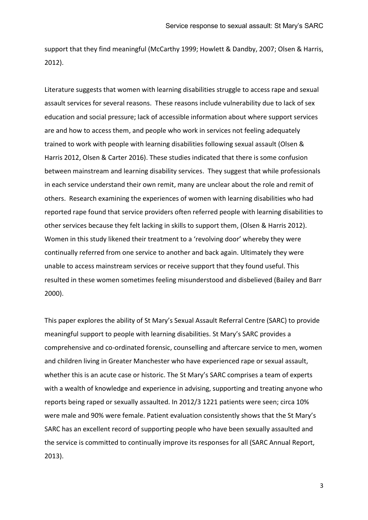support that they find meaningful (McCarthy 1999; Howlett & Dandby, 2007; Olsen & Harris, 2012).

Literature suggests that women with learning disabilities struggle to access rape and sexual assault services for several reasons. These reasons include vulnerability due to lack of sex education and social pressure; lack of accessible information about where support services are and how to access them, and people who work in services not feeling adequately trained to work with people with learning disabilities following sexual assault (Olsen & Harris 2012, Olsen & Carter 2016). These studies indicated that there is some confusion between mainstream and learning disability services. They suggest that while professionals in each service understand their own remit, many are unclear about the role and remit of others. Research examining the experiences of women with learning disabilities who had reported rape found that service providers often referred people with learning disabilities to other services because they felt lacking in skills to support them, (Olsen & Harris 2012). Women in this study likened their treatment to a 'revolving door' whereby they were continually referred from one service to another and back again. Ultimately they were unable to access mainstream services or receive support that they found useful. This resulted in these women sometimes feeling misunderstood and disbelieved (Bailey and Barr 2000).

This paper explores the ability of St Mary's Sexual Assault Referral Centre (SARC) to provide meaningful support to people with learning disabilities. St Mary's SARC provides a comprehensive and co-ordinated forensic, counselling and aftercare service to men, women and children living in Greater Manchester who have experienced rape or sexual assault, whether this is an acute case or historic. The St Mary's SARC comprises a team of experts with a wealth of knowledge and experience in advising, supporting and treating anyone who reports being raped or sexually assaulted. In 2012/3 1221 patients were seen; circa 10% were male and 90% were female. Patient evaluation consistently shows that the St Mary's SARC has an excellent record of supporting people who have been sexually assaulted and the service is committed to continually improve its responses for all (SARC Annual Report, 2013).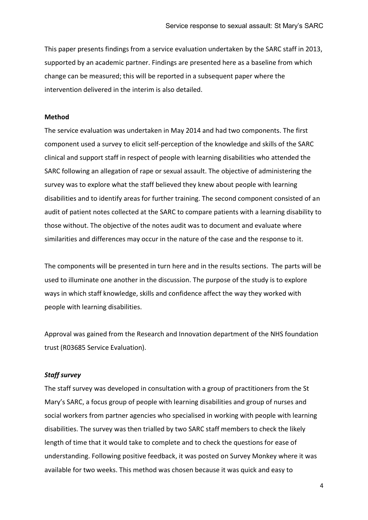This paper presents findings from a service evaluation undertaken by the SARC staff in 2013, supported by an academic partner. Findings are presented here as a baseline from which change can be measured; this will be reported in a subsequent paper where the intervention delivered in the interim is also detailed.

#### **Method**

The service evaluation was undertaken in May 2014 and had two components. The first component used a survey to elicit self-perception of the knowledge and skills of the SARC clinical and support staff in respect of people with learning disabilities who attended the SARC following an allegation of rape or sexual assault. The objective of administering the survey was to explore what the staff believed they knew about people with learning disabilities and to identify areas for further training. The second component consisted of an audit of patient notes collected at the SARC to compare patients with a learning disability to those without. The objective of the notes audit was to document and evaluate where similarities and differences may occur in the nature of the case and the response to it.

The components will be presented in turn here and in the results sections. The parts will be used to illuminate one another in the discussion. The purpose of the study is to explore ways in which staff knowledge, skills and confidence affect the way they worked with people with learning disabilities.

Approval was gained from the Research and Innovation department of the NHS foundation trust (R03685 Service Evaluation).

#### *Staff survey*

The staff survey was developed in consultation with a group of practitioners from the St Mary's SARC, a focus group of people with learning disabilities and group of nurses and social workers from partner agencies who specialised in working with people with learning disabilities. The survey was then trialled by two SARC staff members to check the likely length of time that it would take to complete and to check the questions for ease of understanding. Following positive feedback, it was posted on Survey Monkey where it was available for two weeks. This method was chosen because it was quick and easy to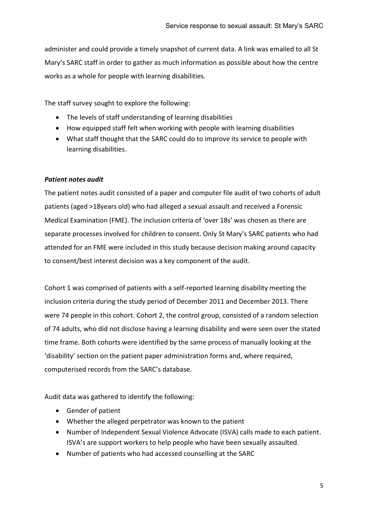administer and could provide a timely snapshot of current data. A link was emailed to all St Mary's SARC staff in order to gather as much information as possible about how the centre works as a whole for people with learning disabilities.

The staff survey sought to explore the following:

- The levels of staff understanding of learning disabilities
- How equipped staff felt when working with people with learning disabilities
- What staff thought that the SARC could do to improve its service to people with learning disabilities.

## *Patient notes audit*

The patient notes audit consisted of a paper and computer file audit of two cohorts of adult patients (aged >18years old) who had alleged a sexual assault and received a Forensic Medical Examination (FME). The inclusion criteria of 'over 18s' was chosen as there are separate processes involved for children to consent. Only St Mary's SARC patients who had attended for an FME were included in this study because decision making around capacity to consent/best interest decision was a key component of the audit.

Cohort 1 was comprised of patients with a self-reported learning disability meeting the inclusion criteria during the study period of December 2011 and December 2013. There were 74 people in this cohort. Cohort 2, the control group, consisted of a random selection of 74 adults, who did not disclose having a learning disability and were seen over the stated time frame. Both cohorts were identified by the same process of manually looking at the 'disability' section on the patient paper administration forms and, where required, computerised records from the SARC's database.

Audit data was gathered to identify the following:

- Gender of patient
- Whether the alleged perpetrator was known to the patient
- Number of Independent Sexual Violence Advocate (ISVA) calls made to each patient. ISVA's are support workers to help people who have been sexually assaulted.
- Number of patients who had accessed counselling at the SARC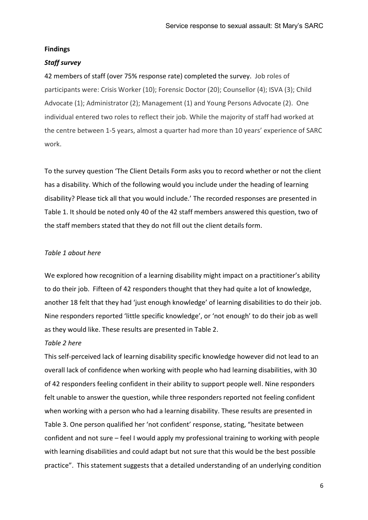#### **Findings**

#### *Staff survey*

42 members of staff (over 75% response rate) completed the survey. Job roles of participants were: Crisis Worker (10); Forensic Doctor (20); Counsellor (4); ISVA (3); Child Advocate (1); Administrator (2); Management (1) and Young Persons Advocate (2). One individual entered two roles to reflect their job. While the majority of staff had worked at the centre between 1-5 years, almost a quarter had more than 10 years' experience of SARC work.

To the survey question 'The Client Details Form asks you to record whether or not the client has a disability. Which of the following would you include under the heading of learning disability? Please tick all that you would include.' The recorded responses are presented in Table 1. It should be noted only 40 of the 42 staff members answered this question, two of the staff members stated that they do not fill out the client details form.

#### *Table 1 about here*

We explored how recognition of a learning disability might impact on a practitioner's ability to do their job. Fifteen of 42 responders thought that they had quite a lot of knowledge, another 18 felt that they had 'just enough knowledge' of learning disabilities to do their job. Nine responders reported 'little specific knowledge', or 'not enough' to do their job as well as they would like. These results are presented in Table 2.

#### *Table 2 here*

This self-perceived lack of learning disability specific knowledge however did not lead to an overall lack of confidence when working with people who had learning disabilities, with 30 of 42 responders feeling confident in their ability to support people well. Nine responders felt unable to answer the question, while three responders reported not feeling confident when working with a person who had a learning disability. These results are presented in Table 3. One person qualified her 'not confident' response, stating, "hesitate between confident and not sure – feel I would apply my professional training to working with people with learning disabilities and could adapt but not sure that this would be the best possible practice". This statement suggests that a detailed understanding of an underlying condition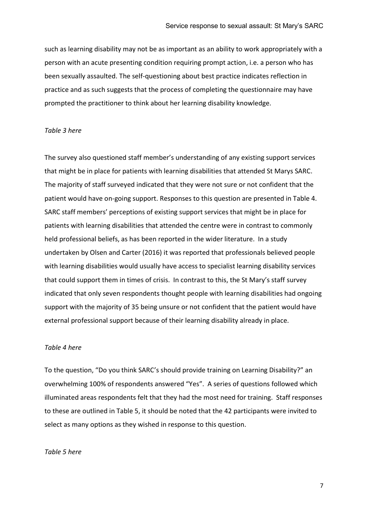such as learning disability may not be as important as an ability to work appropriately with a person with an acute presenting condition requiring prompt action, i.e. a person who has been sexually assaulted. The self-questioning about best practice indicates reflection in practice and as such suggests that the process of completing the questionnaire may have prompted the practitioner to think about her learning disability knowledge.

#### *Table 3 here*

The survey also questioned staff member's understanding of any existing support services that might be in place for patients with learning disabilities that attended St Marys SARC. The majority of staff surveyed indicated that they were not sure or not confident that the patient would have on-going support. Responses to this question are presented in Table 4. SARC staff members' perceptions of existing support services that might be in place for patients with learning disabilities that attended the centre were in contrast to commonly held professional beliefs, as has been reported in the wider literature. In a study undertaken by Olsen and Carter (2016) it was reported that professionals believed people with learning disabilities would usually have access to specialist learning disability services that could support them in times of crisis. In contrast to this, the St Mary's staff survey indicated that only seven respondents thought people with learning disabilities had ongoing support with the majority of 35 being unsure or not confident that the patient would have external professional support because of their learning disability already in place.

#### *Table 4 here*

To the question, "Do you think SARC's should provide training on Learning Disability?" an overwhelming 100% of respondents answered "Yes". A series of questions followed which illuminated areas respondents felt that they had the most need for training. Staff responses to these are outlined in Table 5, it should be noted that the 42 participants were invited to select as many options as they wished in response to this question.

#### *Table 5 here*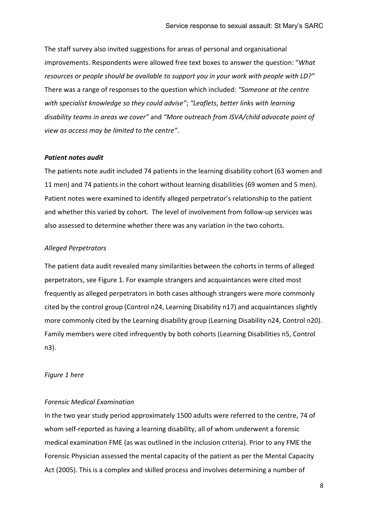The staff survey also invited suggestions for areas of personal and organisational improvements. Respondents were allowed free text boxes to answer the question: "*What resources or people should be available to support you in your work with people with LD?"*  There was a range of responses to the question which included: *"Someone at the centre with specialist knowledge so they could advise"*; *"Leaflets, better links with learning disability teams in areas we cover"* and *"More outreach from ISVA/child advocate point of view as access may be limited to the centre"*.

#### *Patient notes audit*

The patients note audit included 74 patients in the learning disability cohort (63 women and 11 men) and 74 patients in the cohort without learning disabilities (69 women and 5 men). Patient notes were examined to identify alleged perpetrator's relationship to the patient and whether this varied by cohort. The level of involvement from follow-up services was also assessed to determine whether there was any variation in the two cohorts.

#### *Alleged Perpetrators*

The patient data audit revealed many similarities between the cohorts in terms of alleged perpetrators, see Figure 1. For example strangers and acquaintances were cited most frequently as alleged perpetrators in both cases although strangers were more commonly cited by the control group (Control n24, Learning Disability n17) and acquaintances slightly more commonly cited by the Learning disability group (Learning Disability n24, Control n20). Family members were cited infrequently by both cohorts (Learning Disabilities n5, Control n3).

#### *Figure 1 here*

#### *Forensic Medical Examination*

In the two year study period approximately 1500 adults were referred to the centre, 74 of whom self-reported as having a learning disability, all of whom underwent a forensic medical examination FME (as was outlined in the inclusion criteria). Prior to any FME the Forensic Physician assessed the mental capacity of the patient as per the Mental Capacity Act (2005). This is a complex and skilled process and involves determining a number of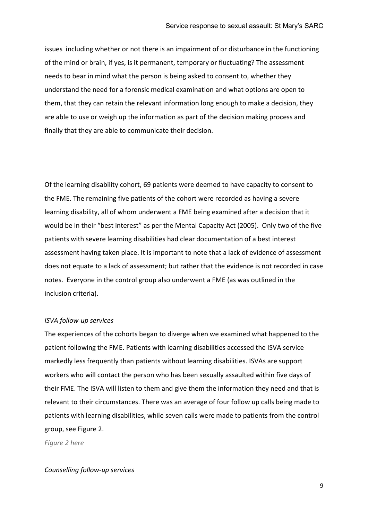issues including whether or not there is an impairment of or disturbance in the functioning of the mind or brain, if yes, is it permanent, temporary or fluctuating? The assessment needs to bear in mind what the person is being asked to consent to, whether they understand the need for a forensic medical examination and what options are open to them, that they can retain the relevant information long enough to make a decision, they are able to use or weigh up the information as part of the decision making process and finally that they are able to communicate their decision.

Of the learning disability cohort, 69 patients were deemed to have capacity to consent to the FME. The remaining five patients of the cohort were recorded as having a severe learning disability, all of whom underwent a FME being examined after a decision that it would be in their "best interest" as per the Mental Capacity Act (2005). Only two of the five patients with severe learning disabilities had clear documentation of a best interest assessment having taken place. It is important to note that a lack of evidence of assessment does not equate to a lack of assessment; but rather that the evidence is not recorded in case notes. Everyone in the control group also underwent a FME (as was outlined in the inclusion criteria).

#### *ISVA follow-up services*

The experiences of the cohorts began to diverge when we examined what happened to the patient following the FME. Patients with learning disabilities accessed the ISVA service markedly less frequently than patients without learning disabilities. ISVAs are support workers who will contact the person who has been sexually assaulted within five days of their FME. The ISVA will listen to them and give them the information they need and that is relevant to their circumstances. There was an average of four follow up calls being made to patients with learning disabilities, while seven calls were made to patients from the control group, see Figure 2.

*Figure 2 here*

#### *Counselling follow-up services*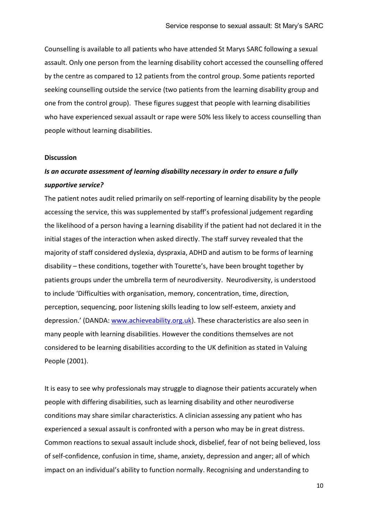Counselling is available to all patients who have attended St Marys SARC following a sexual assault. Only one person from the learning disability cohort accessed the counselling offered by the centre as compared to 12 patients from the control group. Some patients reported seeking counselling outside the service (two patients from the learning disability group and one from the control group). These figures suggest that people with learning disabilities who have experienced sexual assault or rape were 50% less likely to access counselling than people without learning disabilities.

#### **Discussion**

# *Is an accurate assessment of learning disability necessary in order to ensure a fully supportive service?*

The patient notes audit relied primarily on self-reporting of learning disability by the people accessing the service, this was supplemented by staff's professional judgement regarding the likelihood of a person having a learning disability if the patient had not declared it in the initial stages of the interaction when asked directly. The staff survey revealed that the majority of staff considered dyslexia, dyspraxia, ADHD and autism to be forms of learning disability – these conditions, together with Tourette's, have been brought together by patients groups under the umbrella term of neurodiversity. Neurodiversity, is understood to include 'Difficulties with organisation, memory, concentration, time, direction, perception, sequencing, poor listening skills leading to low self-esteem, anxiety and depression.' (DANDA: [www.achieveability.org.uk\)](http://www.achieveability.org.uk/). These characteristics are also seen in many people with learning disabilities. However the conditions themselves are not considered to be learning disabilities according to the UK definition as stated in Valuing People (2001).

It is easy to see why professionals may struggle to diagnose their patients accurately when people with differing disabilities, such as learning disability and other neurodiverse conditions may share similar characteristics. A clinician assessing any patient who has experienced a sexual assault is confronted with a person who may be in great distress. Common reactions to sexual assault include shock, disbelief, fear of not being believed, loss of self-confidence, confusion in time, shame, anxiety, depression and anger; all of which impact on an individual's ability to function normally. Recognising and understanding to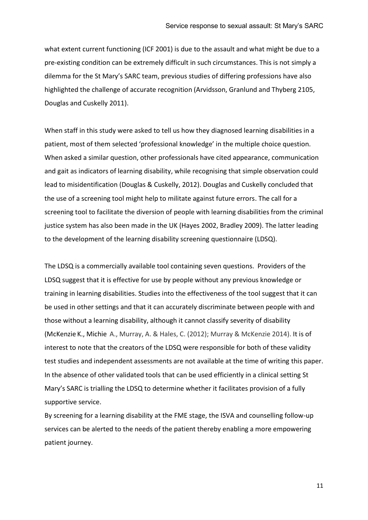what extent current functioning (ICF 2001) is due to the assault and what might be due to a pre-existing condition can be extremely difficult in such circumstances. This is not simply a dilemma for the St Mary's SARC team, previous studies of differing professions have also highlighted the challenge of accurate recognition (Arvidsson, Granlund and Thyberg 2105, Douglas and Cuskelly 2011).

When staff in this study were asked to tell us how they diagnosed learning disabilities in a patient, most of them selected 'professional knowledge' in the multiple choice question. When asked a similar question, other professionals have cited appearance, communication and gait as indicators of learning disability, while recognising that simple observation could lead to misidentification (Douglas & Cuskelly, 2012). Douglas and Cuskelly concluded that the use of a screening tool might help to militate against future errors. The call for a screening tool to facilitate the diversion of people with learning disabilities from the criminal justice system has also been made in the UK (Hayes 2002, Bradley 2009). The latter leading to the development of the learning disability screening questionnaire (LDSQ).

The LDSQ is a commercially available tool containing seven questions. Providers of the LDSQ suggest that it is effective for use by people without any previous knowledge or training in learning disabilities. Studies into the effectiveness of the tool suggest that it can be used in other settings and that it can accurately discriminate between people with and those without a learning disability, although it cannot classify severity of disability [\(McKenzie](http://www.sciencedirect.com/science/article/pii/S0891422211004379) K.[, Michie](http://www.sciencedirect.com/science/article/pii/S0891422211004379) A., Murray, A. & Hales, C. (2012); Murray & McKenzie 2014). It is of interest to note that the creators of the LDSQ were responsible for both of these validity test studies and independent assessments are not available at the time of writing this paper. In the absence of other validated tools that can be used efficiently in a clinical setting St Mary's SARC is trialling the LDSQ to determine whether it facilitates provision of a fully supportive service.

By screening for a learning disability at the FME stage, the ISVA and counselling follow-up services can be alerted to the needs of the patient thereby enabling a more empowering patient journey.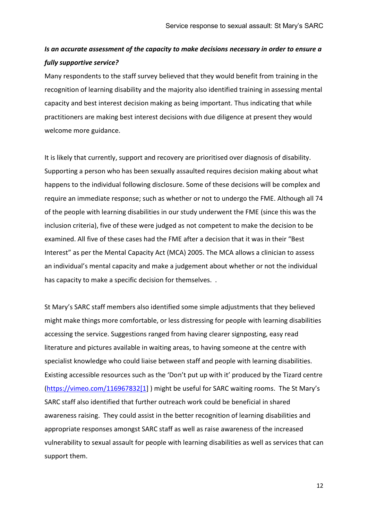# *Is an accurate assessment of the capacity to make decisions necessary in order to ensure a fully supportive service?*

Many respondents to the staff survey believed that they would benefit from training in the recognition of learning disability and the majority also identified training in assessing mental capacity and best interest decision making as being important. Thus indicating that while practitioners are making best interest decisions with due diligence at present they would welcome more guidance.

It is likely that currently, support and recovery are prioritised over diagnosis of disability. Supporting a person who has been sexually assaulted requires decision making about what happens to the individual following disclosure. Some of these decisions will be complex and require an immediate response; such as whether or not to undergo the FME. Although all 74 of the people with learning disabilities in our study underwent the FME (since this was the inclusion criteria), five of these were judged as not competent to make the decision to be examined. All five of these cases had the FME after a decision that it was in their "Best Interest" as per the Mental Capacity Act (MCA) 2005. The MCA allows a clinician to assess an individual's mental capacity and make a judgement about whether or not the individual has capacity to make a specific decision for themselves. .

St Mary's SARC staff members also identified some simple adjustments that they believed might make things more comfortable, or less distressing for people with learning disabilities accessing the service. Suggestions ranged from having clearer signposting, easy read literature and pictures available in waiting areas, to having someone at the centre with specialist knowledge who could liaise between staff and people with learning disabilities. Existing accessible resources such as the 'Don't put up with it' produced by the Tizard centre [\(https://vimeo.com/116967832\[1\]](https://vimeo.com/116967832%5b1) ) might be useful for SARC waiting rooms. The St Mary's SARC staff also identified that further outreach work could be beneficial in shared awareness raising. They could assist in the better recognition of learning disabilities and appropriate responses amongst SARC staff as well as raise awareness of the increased vulnerability to sexual assault for people with learning disabilities as well as services that can support them.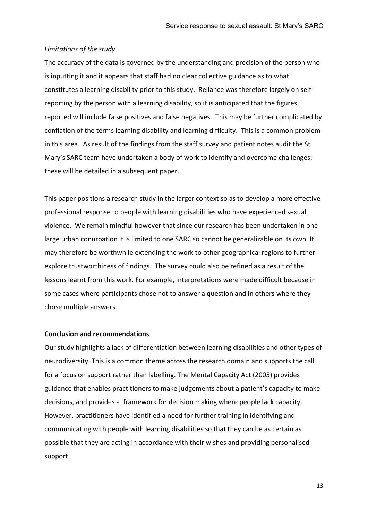#### *Limitations of the study*

The accuracy of the data is governed by the understanding and precision of the person who is inputting it and it appears that staff had no clear collective guidance as to what constitutes a learning disability prior to this study. Reliance was therefore largely on selfreporting by the person with a learning disability, so it is anticipated that the figures reported will include false positives and false negatives. This may be further complicated by conflation of the terms learning disability and learning difficulty. This is a common problem in this area. As result of the findings from the staff survey and patient notes audit the St Mary's SARC team have undertaken a body of work to identify and overcome challenges; these will be detailed in a subsequent paper.

This paper positions a research study in the larger context so as to develop a more effective professional response to people with learning disabilities who have experienced sexual violence. We remain mindful however that since our research has been undertaken in one large urban conurbation it is limited to one SARC so cannot be generalizable on its own. It may therefore be worthwhile extending the work to other geographical regions to further explore trustworthiness of findings. The survey could also be refined as a result of the lessons learnt from this work. For example, interpretations were made difficult because in some cases where participants chose not to answer a question and in others where they chose multiple answers.

#### **Conclusion and recommendations**

Our study highlights a lack of differentiation between learning disabilities and other types of neurodiversity. This is a common theme across the research domain and supports the call for a focus on support rather than labelling. The Mental Capacity Act (2005) provides guidance that enables practitioners to make judgements about a patient's capacity to make decisions, and provides a framework for decision making where people lack capacity. However, practitioners have identified a need for further training in identifying and communicating with people with learning disabilities so that they can be as certain as possible that they are acting in accordance with their wishes and providing personalised support.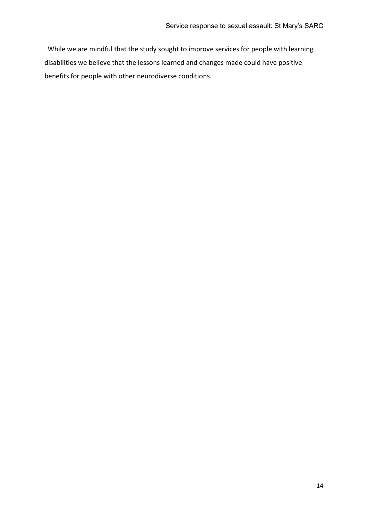While we are mindful that the study sought to improve services for people with learning disabilities we believe that the lessons learned and changes made could have positive benefits for people with other neurodiverse conditions.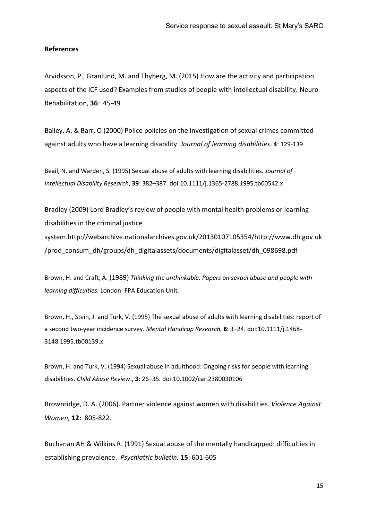#### **References**

Arvidsson, P., Granlund, M. and Thyberg, M. (2015) How are the activity and participation aspects of the ICF used? Examples from studies of people with intellectual disability. [Neuro](http://content.iospress.com/journals/neurorehabilitation)  [Rehabilitation,](http://content.iospress.com/journals/neurorehabilitation) **36**: 45-49

Bailey, A. & Barr, O (2000) Police policies on the investigation of sexual crimes committed against adults who have a learning disability. *Journal of learning disabilities.* **4**: 129-139

Beail, N. and Warden, S. (1995) Sexual abuse of adults with learning disabilities. *Journal of Intellectual Disability Research*, **39**: 382–387. doi:10.1111/j.1365-2788.1995.tb00542.x

Bradley (2009) Lord Bradley's review of people with mental health problems or learning disabilities in the criminal justice system.http://webarchive.nationalarchives.gov.uk/20130107105354/http://www.dh.gov.uk /prod\_consum\_dh/groups/dh\_digitalassets/documents/digitalasset/dh\_098698.pdf

Brown, H. and Craft, A. (1989) *Thinking the unthinkable: Papers on sexual abuse and people with learning difficulties*. London: FPA Education Unit.

Brown, H., Stein, J. and Turk, V. (1995) The sexual abuse of adults with learning disabilities: report of a second two-year incidence survey. *Mental Handicap Research*, **8**: 3–24. doi:10.1111/j.1468- 3148.1995.tb00139.x

Brown, H. and Turk, V. (1994) Sexual abuse in adulthood: Ongoing risks for people with learning disabilities. *Child Abuse Review*., **3**: 26–35. doi:10.1002/car.2380030106

Brownridge, D. A. (2006). Partner violence against women with disabilities. *Violence Against Women,* **12:** 805-822.

Buchanan AH & Wilkins R. (1991) Sexual abuse of the mentally handicapped: difficulties in establishing prevalence. *Psychiatric bulletin.* **15**: 601-605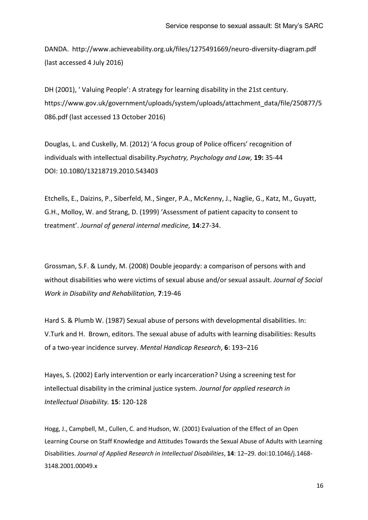DANDA. <http://www.achieveability.org.uk/files/1275491669/neuro-diversity-diagram.pdf> (last accessed 4 July 2016)

DH (2001), ' Valuing People': A strategy for learning disability in the 21st century. [https://www.gov.uk/government/uploads/system/uploads/attachment\\_data/file/250877/5](https://www.gov.uk/government/uploads/system/uploads/attachment_data/file/250877/5086.pdf) [086.pdf](https://www.gov.uk/government/uploads/system/uploads/attachment_data/file/250877/5086.pdf) (last accessed 13 October 2016)

Douglas, L. and Cuskelly, M. (2012) 'A focus group of Police officers' recognition of individuals with intellectual disability.*Psychatry, Psychology and Law,* **19:** 35-44 DOI: 10.1080/13218719.2010.543403

Etchells, E., Daizins, P., Siberfeld, M., Singer, P.A., McKenny, J., Naglie, G., Katz, M., Guyatt, G.H., Molloy, W. and Strang, D. (1999) 'Assessment of patient capacity to consent to treatment'. *Journal of general internal medicine,* **14**:27-34.

Grossman, S.F. & Lundy, M. (2008) Double jeopardy: a comparison of persons with and without disabilities who were victims of sexual abuse and/or sexual assault. *Journal of Social Work in Disability and Rehabilitation,* **7**:19-46

Hard S. & Plumb W. (1987) Sexual abuse of persons with developmental disabilities. In: V.Turk and H. Brown, editors. The sexual abuse of adults with learning disabilities: Results of a two-year incidence survey. *Mental Handicap Research*, **6**: 193–216

Hayes, S. (2002) Early intervention or early incarceration? Using a screening test for intellectual disability in the criminal justice system. *Journal for applied research in Intellectual Disability.* **15**: 120-128

Hogg, J., Campbell, M., Cullen, C. and Hudson, W. (2001) Evaluation of the Effect of an Open Learning Course on Staff Knowledge and Attitudes Towards the Sexual Abuse of Adults with Learning Disabilities. *Journal of Applied Research in Intellectual Disabilities*, **14**: 12–29. doi:10.1046/j.1468- 3148.2001.00049.x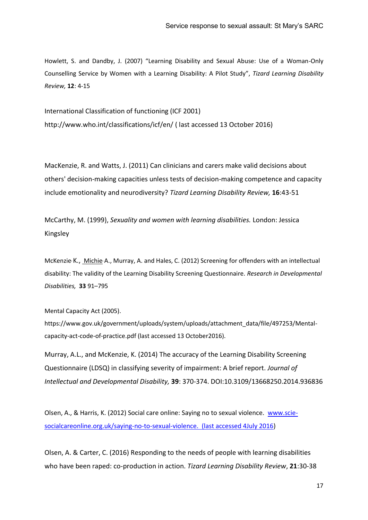Howlett, S. and Dandby, J. (2007) "Learning Disability and Sexual Abuse: Use of a Woman-Only Counselling Service by Women with a Learning Disability: A Pilot Study", *Tizard Learning Disability Review,* **12**: 4-15

International Classification of functioning (ICF 2001) <http://www.who.int/classifications/icf/en/> ( last accessed 13 October 2016)

MacKenzie, R. and Watts, J. (2011) [Can clinicians and carers make valid decisions about](http://www.emeraldinsight.com/doi/abs/10.1108/13595471111158693)  others' decision‐[making capacities unless tests of decision](http://www.emeraldinsight.com/doi/abs/10.1108/13595471111158693)‐making competence and capacity [include emotionality and neurodiversity?](http://www.emeraldinsight.com/doi/abs/10.1108/13595471111158693) *Tizard Learning Disability Review,* **16**:43-51

McCarthy, M. (1999), *Sexuality and women with learning disabilities.* London: Jessica Kingsley

[McKenzie](http://www.sciencedirect.com/science/article/pii/S0891422211004379)<sup>,</sup> K., [Michie](http://www.sciencedirect.com/science/article/pii/S0891422211004379)<sup>, A.</sup>, Murray, A. and Hales, C. (2012) Screening for offenders with an intellectual disability: The validity of the Learning Disability Screening Questionnaire. *Research in [Developmental](http://www.sciencedirect.com/science/journal/08914222) [Disabilities,](http://www.sciencedirect.com/science/journal/08914222)* **[33](http://www.sciencedirect.com/science/journal/08914222/33/3)** 91–795

Mental Capacity Act (2005).

https://www.gov.uk/government/uploads/system/uploads/attachment\_data/file/497253/Mentalcapacity-act-code-of-practice.pdf (last accessed 13 October2016).

Murray, A.L., and McKenzie, K. (2014) The accuracy of the Learning Disability Screening Questionnaire (LDSQ) in classifying severity of impairment: A brief report. *Journal of Intellectual and Developmental Disability,* **39**: 370-374. DOI:10.3109/13668250.2014.936836

Olsen, A., & Harris, K. (2012) Social care online: Saying no to sexual violence. [www.scie](http://www.scie-socialcareonline.org.uk/saying-no-to-sexual-violence.%20(last%20accessed%204July%202016)[socialcareonline.org.uk/saying-no-to-sexual-violence. \(last accessed 4July 2016\)](http://www.scie-socialcareonline.org.uk/saying-no-to-sexual-violence.%20(last%20accessed%204July%202016)

Olsen, A. & Carter, C. (2016) Responding to the needs of people with learning disabilities who have been raped: co-production in action. *Tizard Learning Disability Review*, **21**:30-38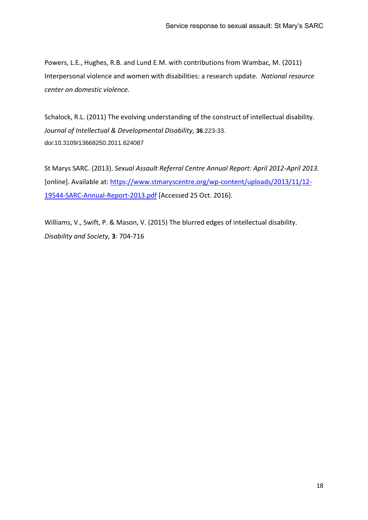Powers, L.E., Hughes, R.B. and Lund E.M. with contributions from Wambac, M. (2011) Interpersonal violence and women with disabilities: a research update. *National resource center on domestic violence.*

Schalock, R.L. (2011) The evolving understanding of the construct of intellectual disability. *[Journal of Intellectual & Developmental Disability,](http://www.tandfonline.com/toc/cjid20/36/4)* **36**:223-33. doi:10.3109/13668250.2011.624087

St Marys SARC. (2013). *Sexual Assault Referral Centre Annual Report: April 2012-April 2013.* [online]. Available at: [https://www.stmaryscentre.org/wp-content/uploads/2013/11/12-](https://www.stmaryscentre.org/wp-content/uploads/2013/11/12-19544-SARC-Annual-Report-2013.pdf) [19544-SARC-Annual-Report-2013.pdf](https://www.stmaryscentre.org/wp-content/uploads/2013/11/12-19544-SARC-Annual-Report-2013.pdf) [Accessed 25 Oct. 2016].

Williams, V., Swift, P. & Mason, V. (2015) The blurred edges of intellectual disability. *Disability and Society,* **3**: 704-716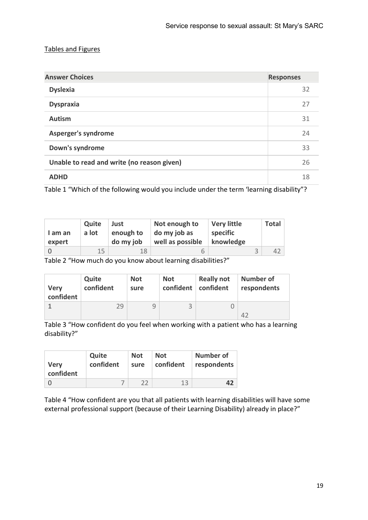## Tables and Figures

| <b>Answer Choices</b>                      | <b>Responses</b> |
|--------------------------------------------|------------------|
| <b>Dyslexia</b>                            | 32               |
| <b>Dyspraxia</b>                           | 27               |
| <b>Autism</b>                              | 31               |
| <b>Asperger's syndrome</b>                 | 24               |
| Down's syndrome                            | 33               |
| Unable to read and write (no reason given) | 26               |
| <b>ADHD</b>                                | 18               |

Table 1 "Which of the following would you include under the term 'learning disability"?

| I am an<br>expert | Quite<br>a lot | Just<br>enough to<br>do my job | Not enough to<br>do my job as<br>well as possible | <b>Very little</b><br>specific<br>knowledge | <b>Total</b> |
|-------------------|----------------|--------------------------------|---------------------------------------------------|---------------------------------------------|--------------|
|                   | 15             | 18                             |                                                   |                                             | 42           |

Table 2 "How much do you know about learning disabilities?"

| <b>Very</b> | Quite     | <b>Not</b> | <b>Not</b> | <b>Really not</b> | <b>Number of</b> |
|-------------|-----------|------------|------------|-------------------|------------------|
| confident   | confident | sure       | confident  | confident         | respondents      |
|             | 29        | Ч          |            |                   |                  |

Table 3 "How confident do you feel when working with a patient who has a learning disability?"

|                          | Quite     | <b>Not</b> | <b>Not</b> | <b>Number of</b> |
|--------------------------|-----------|------------|------------|------------------|
| <b>Very</b><br>confident | confident | sure       | confident  | respondents      |
|                          |           |            | 13         |                  |

Table 4 "How confident are you that all patients with learning disabilities will have some external professional support (because of their Learning Disability) already in place?"